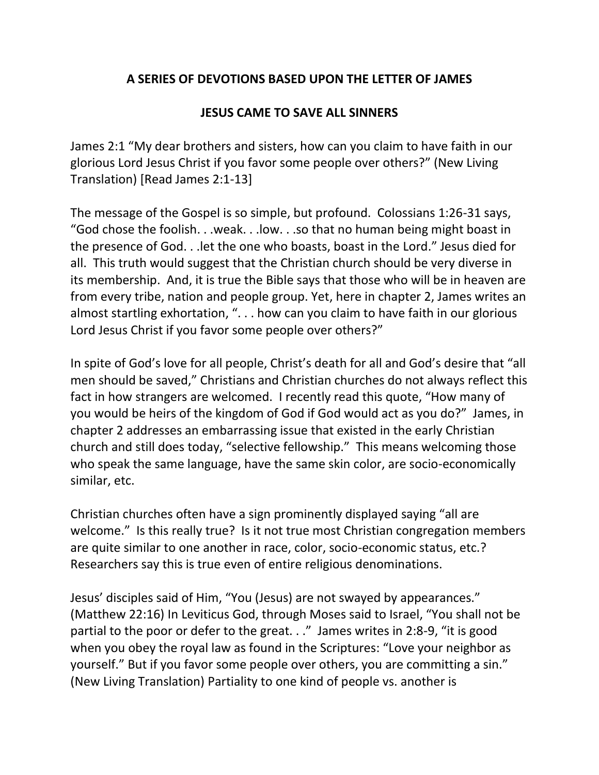## **A SERIES OF DEVOTIONS BASED UPON THE LETTER OF JAMES**

## **JESUS CAME TO SAVE ALL SINNERS**

James 2:1 "My dear brothers and sisters, how can you claim to have faith in our glorious Lord Jesus Christ if you favor some people over others?" (New Living Translation) [Read James 2:1-13]

The message of the Gospel is so simple, but profound. Colossians 1:26-31 says, "God chose the foolish. . .weak. . .low. . .so that no human being might boast in the presence of God. . .let the one who boasts, boast in the Lord." Jesus died for all. This truth would suggest that the Christian church should be very diverse in its membership. And, it is true the Bible says that those who will be in heaven are from every tribe, nation and people group. Yet, here in chapter 2, James writes an almost startling exhortation, ". . . how can you claim to have faith in our glorious Lord Jesus Christ if you favor some people over others?"

In spite of God's love for all people, Christ's death for all and God's desire that "all men should be saved," Christians and Christian churches do not always reflect this fact in how strangers are welcomed. I recently read this quote, "How many of you would be heirs of the kingdom of God if God would act as you do?" James, in chapter 2 addresses an embarrassing issue that existed in the early Christian church and still does today, "selective fellowship." This means welcoming those who speak the same language, have the same skin color, are socio-economically similar, etc.

Christian churches often have a sign prominently displayed saying "all are welcome." Is this really true? Is it not true most Christian congregation members are quite similar to one another in race, color, socio-economic status, etc.? Researchers say this is true even of entire religious denominations.

Jesus' disciples said of Him, "You (Jesus) are not swayed by appearances." (Matthew 22:16) In Leviticus God, through Moses said to Israel, "You shall not be partial to the poor or defer to the great. . ." James writes in 2:8-9, "it is good when you obey the royal law as found in the Scriptures: "Love your neighbor as yourself." But if you favor some people over others, you are committing a sin." (New Living Translation) Partiality to one kind of people vs. another is